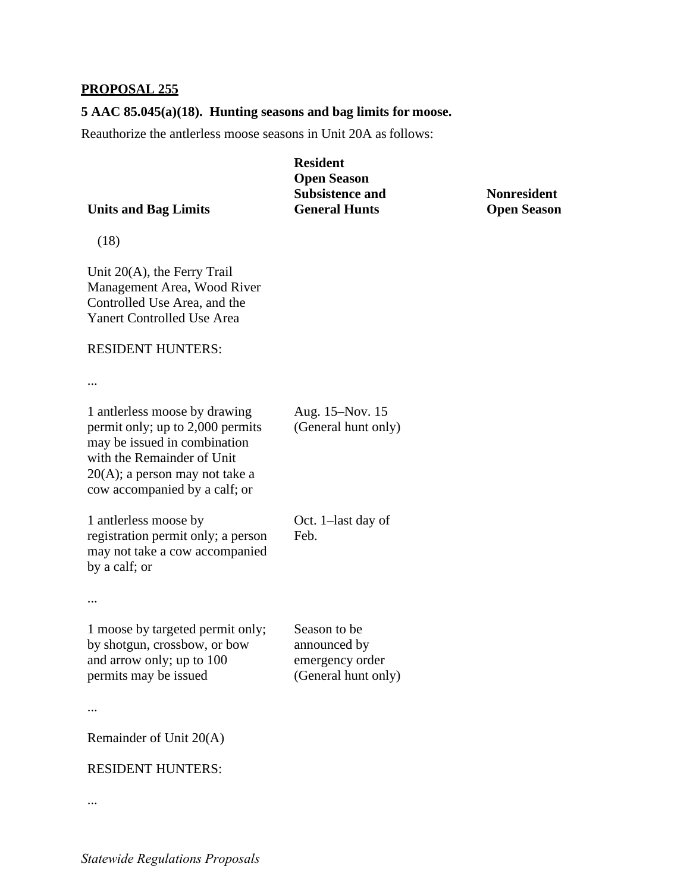## **PROPOSAL 255**

## **5 AAC 85.045(a)(18). Hunting seasons and bag limits for moose.**

Reauthorize the antlerless moose seasons in Unit 20A as follows:

|                             | <b>Resident</b>        |
|-----------------------------|------------------------|
|                             | <b>Open Season</b>     |
|                             | <b>Subsistence and</b> |
| <b>Units and Bag Limits</b> | <b>General Hunts</b>   |
|                             |                        |

**Nonresident Open Season** 

(18)

 Management Area, Wood River Unit 20(A), the Ferry Trail Controlled Use Area, and the Yanert Controlled Use Area

## RESIDENT HUNTERS:

...

 permit only; up to 2,000 permits 20(A); a person may not take a 1 antlerless moose by drawing may be issued in combination with the Remainder of Unit cow accompanied by a calf; or

Aug. 15–Nov. 15 (General hunt only)

 registration permit only; a person 1 antlerless moose by may not take a cow accompanied by a calf; or Oct. 1–last day of Feb.

...

 emergency order 1 moose by targeted permit only; by shotgun, crossbow, or bow and arrow only; up to 100 permits may be issued Season to be announced by (General hunt only)

...

Remainder of Unit 20(A)

## RESIDENT HUNTERS:

...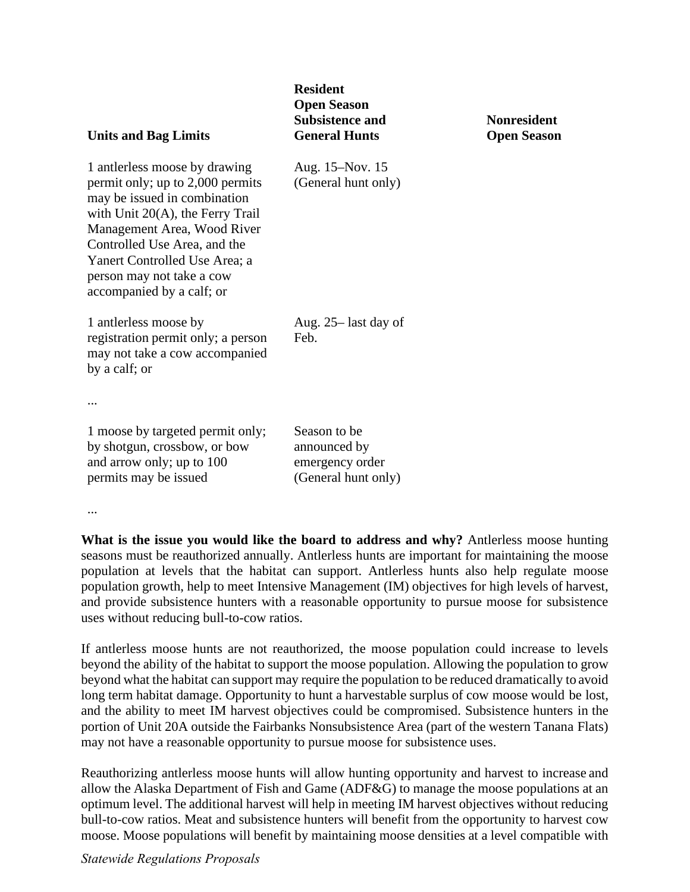| <b>Units and Bag Limits</b>                                                                                                                                                                                                                                                                        | <b>Resident</b><br><b>Open Season</b><br><b>Subsistence and</b><br><b>General Hunts</b> | <b>Nonresident</b><br><b>Open Season</b> |
|----------------------------------------------------------------------------------------------------------------------------------------------------------------------------------------------------------------------------------------------------------------------------------------------------|-----------------------------------------------------------------------------------------|------------------------------------------|
| 1 antierless moose by drawing<br>permit only; up to 2,000 permits<br>may be issued in combination<br>with Unit $20(A)$ , the Ferry Trail<br>Management Area, Wood River<br>Controlled Use Area, and the<br>Yanert Controlled Use Area; a<br>person may not take a cow<br>accompanied by a calf; or | Aug. 15–Nov. 15<br>(General hunt only)                                                  |                                          |
| 1 antierless moose by<br>registration permit only; a person<br>may not take a cow accompanied<br>by a calf; or<br>$\cdots$                                                                                                                                                                         | Aug. 25– last day of<br>Feb.                                                            |                                          |
| 1 moose by targeted permit only;<br>by shotgun, crossbow, or bow<br>and arrow only; up to 100<br>permits may be issued                                                                                                                                                                             | Season to be<br>announced by<br>emergency order<br>(General hunt only)                  |                                          |

...

 seasons must be reauthorized annually. Antlerless hunts are important for maintaining the moose population growth, help to meet Intensive Management (IM) objectives for high levels of harvest, uses without reducing bull-to-cow ratios. **What is the issue you would like the board to address and why?** Antlerless moose hunting population at levels that the habitat can support. Antlerless hunts also help regulate moose and provide subsistence hunters with a reasonable opportunity to pursue moose for subsistence

 beyond what the habitat can support may require the population to be reduced dramatically to avoid long term habitat damage. Opportunity to hunt a harvestable surplus of cow moose would be lost, and the ability to meet IM harvest objectives could be compromised. Subsistence hunters in the portion of Unit 20A outside the Fairbanks Nonsubsistence Area (part of the western Tanana Flats) may not have a reasonable opportunity to pursue moose for subsistence uses. If antlerless moose hunts are not reauthorized, the moose population could increase to levels beyond the ability of the habitat to support the moose population. Allowing the population to grow

 moose. Moose populations will benefit by maintaining moose densities at a level compatible with Reauthorizing antlerless moose hunts will allow hunting opportunity and harvest to increase and allow the Alaska Department of Fish and Game (ADF&G) to manage the moose populations at an optimum level. The additional harvest will help in meeting IM harvest objectives without reducing bull-to-cow ratios. Meat and subsistence hunters will benefit from the opportunity to harvest cow